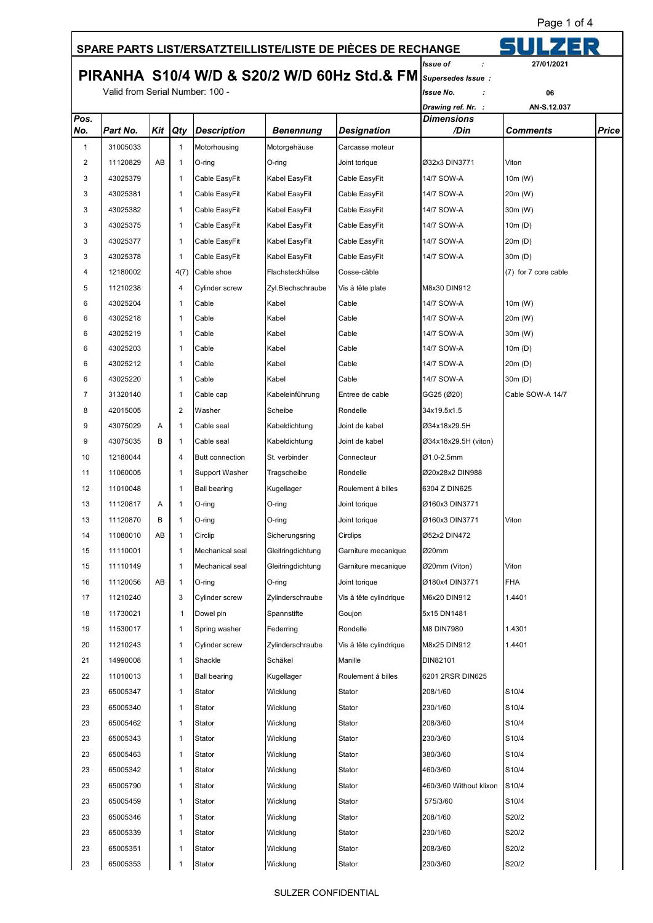Page 1 of 4

## 5UI  **SPARE PARTS LIST/ERSATZTEILLISTE/LISTE DE PIÈCES DE RECHANGE** *Issue of :* **27/01/2021 PIRANHA S10/4 W/D & S20/2 W/D 60Hz Std.& FM** *Supersedes Issue :* Valid from Serial Number: 100 - *Issue No. :* **06** *Drawing ref. Nr. :* **AN-S.12.037** *Pos. Dimensions No. Part No. Kit Qty Description Benennung Designation /Din Comments Price* 1 31005033 1 1 Motorhousing Motorgehäuse Carcasse moteur 2 11120829 AB 1 O-ring O-ring Joint torique Ø32x3 DIN3771 Viton 3 43025379 1 Cable EasyFit Kabel EasyFit Cable EasyFit 14/7 SOW-A 10m (W) 3 43025381 1 Cable EasyFit Kabel EasyFit Cable EasyFit 14/7 SOW-A 20m (W) 3 43025382 1 1 Cable EasyFit Kabel EasyFit Cable EasyFit 14/7 SOW-A 30m (W) 3 43025375 1 Cable EasyFit Kabel EasyFit Cable EasyFit 14/7 SOW-A 10m (D) 3 43025377 1 Cable EasyFit Kabel EasyFit Cable EasyFit 14/7 SOW-A 20m (D) 3 43025378 1 Cable EasyFit Kabel EasyFit Cable EasyFit 14/7 SOW-A 30m (D) 4 12180002 4(7) Cable shoe Flachsteckhülse Cosse-câble (7) for 7 core cable 5 11210238 4 Cylinder screw Zyl.Blechschraube Vis à tête plate M8x30 DIN912 6 43025204 1 Cable Kabel Cable 14/7 SOW-A 10m (W) 6 43025218 1 Cable Kabel Cable 14/7 SOW-A 20m (W) 6 43025219 1 Cable Kabel Cable 14/7 SOW-A 30m (W) 6 43025203 1 Cable Kabel Cable 14/7 SOW-A 10m (D) 6 43025212 1 Cable Kabel Cable 14/7 SOW-A 20m (D) 6 43025220 1 Cable Kabel Cable 14/7 SOW-A 30m (D) 7 31320140 1 Cable cap Kabeleinführung Entree de cable GG25 (Ø20) Cable SOW-A 14/7 8 42015005 2 Washer Scheibe Rondelle 34x19.5x1.5 9 43075029 A 1 Cable seal Kabeldichtung Joint de kabel Ø34x18x29.5H 9 43075035 B 1 Cable seal Kabeldichtung Joint de kabel Ø34x18x29.5H (viton) 10 12180044 4 Butt connection St. verbinder Connecteur Ø1.0-2.5mm 11 11060005 1 Support Washer Tragscheibe Rondelle Ø20x28x2 DIN988 12 | 11010048 | | 1 | Ball bearing | Kugellager | Roulement á billes | 6304 Z DIN625 13 | 11120817 | A | 1 | O-ring | O-ring | O-ring | Joint torique | Ø160x3 DIN3771 13 11120870 B 1 O-ring O-ring Joint torique Ø160x3 DIN3771 Viton 14 | 11080010 | AB | 1 | Circlip | Sicherungsring | Circlips | Ø52x2 DIN472 15 11110001 1 Mechanical seal Gleitringdichtung Garniture mecanique Ø20mm 15 11110149 1 Mechanical seal Gleitringdichtung Garniture mecanique Ø20mm (Viton) Viton 16 11120056 AB 1 O-ring O-ring Joint torique Ø180x4 DIN3771 FHA 17 11210240 3 Cylinder screw Zylinderschraube Vis à tête cylindrique M6x20 DIN912 1.4401 18 | 11730021 | | 1 | Dowel pin | Spannstifte | Goujon | 5x15 DN1481 19 11530017 1 Spring washer Federring Rondelle M8 DIN7980 1.4301 20 11210243 1 Cylinder screw Zylinderschraube Vis à tête cylindrique M8x25 DIN912 1.4401 21 14990008 1 Shackle Schäkel Manille DIN82101 22 | 11010013 | | 1 | Ball bearing | Kugellager | Roulement á billes | 6201 2RSR DIN625 23 | 65005347 | | 1 |Stator Wicklung |Stator |208/1/60 |S10/4 23 65005340 1 Stator Wicklung Stator 230/1/60 S10/4 23 65005462 | | 1 Stator Wicklung Stator | 208/3/60 |S10/4 23 65005343 1 Stator Wicklung Stator 230/3/60 S10/4 23 | 65005463 | | 1 |Stator Wicklung |Stator |380/3/60 |S10/4 23 65005342 1 Stator Wicklung Stator 460/3/60 S10/4 23 65005790 1 Stator Wicklung Stator 460/3/60 Without klixon S10/4 23 65005459 1 Stator Wicklung Stator 575/3/60 S10/4 23 65005346 1 Stator Wicklung Stator 208/1/60 S20/2

23 65005339 1 Stator Wicklung Stator 230/1/60 S20/2 23 65005351 1 Stator Wicklung Stator 208/3/60 S20/2 23 | 65005353 | | 1 |Stator | Wicklung | Stator | 230/3/60 | IS20/2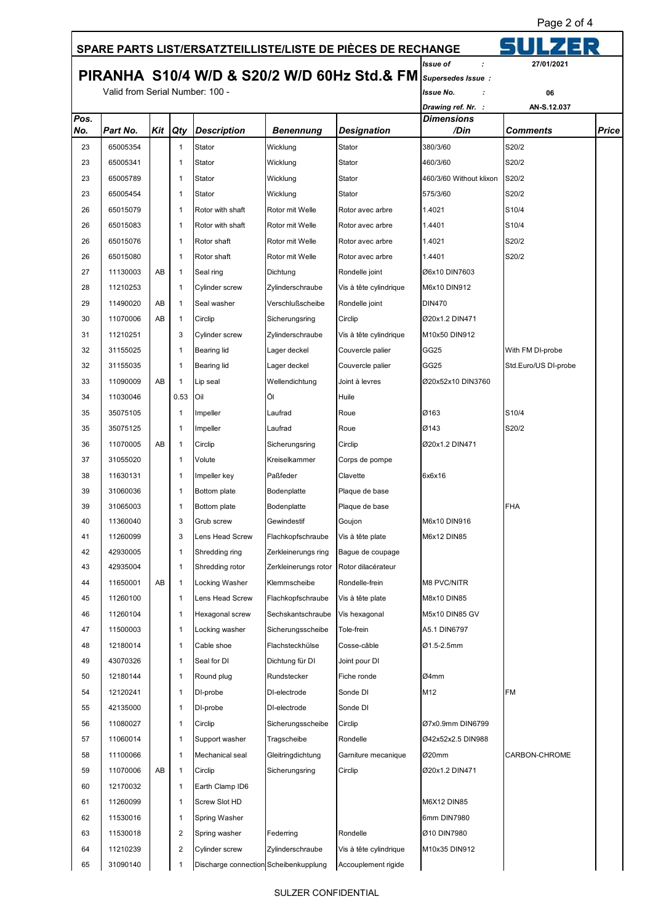Page 2 of 4

## 51 U I  **SPARE PARTS LIST/ERSATZTEILLISTE/LISTE DE PIÈCES DE RECHANGE** *Issue of : 27/01/202*  **PIRANHA S10/4 W/D & S20/2 W/D 60Hz Std.& FM** *Supersedes Issue :* Valid from Serial Number: 100 - *Issue No. :* **06** *Drawing ref. Nr. :* **AN-S.12.037** *Pos. Dimensions No. Part No. Kit Qty Description Benennung Designation /Din Comments Price* 23 65005354 1 Stator Wicklung Stator 380/3/60 S20/2 23 65005341 1 Stator Wicklung Stator 460/3/60 S20/2 23 65005789 1 Stator Wicklung Stator 820/2 23 65005454 1 Stator Wicklung Stator 575/3/60 S20/2 26 65015079 1 Rotor with shaft Rotor mit Welle Rotor avec arbre 1.4021 S10/4 26 65015083 1 Rotor with shaft Rotor mit Welle Rotor avec arbre 1.4401 S10/4 26 65015076 1 Rotor shaft Rotor mit Welle Rotor avec arbre 1.4021 S20/2 26 65015080 1 Rotor shaft Rotor mit Welle Rotor avec arbre 1.4401 S20/2 27 | 11130003 | AB | 1 | Seal ring | Dichtung | Rondelle joint | Ø6x10 DIN7603 28 11210253 1 | 1 Cylinder screw Zylinderschraube Vis à tête cylindrique M6x10 DIN912 29 | 11490020 | AB | 1 | Seal washer | Verschlußscheibe | Rondelle joint | DIN470 30 | 11070006 | AB | 1 | Circlip | Sicherungsring | Circlip | Math | 200x1.2 DIN471 31 11210251 3 Cylinder screw Zylinderschraube Vis à tête cylindrique M10x50 DIN912 32 31155025 1 Bearing lid Lager deckel Couvercle palier GG25 With FM DI-probe 32 31155035 1 Bearing lid Lager deckel Couvercle palier GG25 Std.Euro/US DI-probe 33 | 11090009 | AB | 1 | Lip seal | Wellendichtung | Joint à levres | Ø20x52x10 DIN3760 34 11030046 0.53 Oil Öl Huile 35 35075105 1 Impeller Laufrad Roue Ø163 S10/4 35 35075125 1 Impeller Laufrad Roue Ø143 S20/2 36 11070005 AB 1 Circlip Sicherungsring Circlip Ø20x1.2 DIN471 37 31055020 1 Volute Kreiselkammer Corps de pompe 38 11630131 1 Impeller key Paßfeder Clavette 6x6x16 39 31060036 1 1 Bottom plate Bodenplatte Plaque de base 39 31065003 1 Bottom plate Bodenplatte Plaque de base FHA 40 11360040 3 Grub screw Gewindestif Goujon M6x10 DIN916 41 11260099 3 Lens Head Screw Flachkopfschraube Vis à tête plate M6x12 DIN85 42 42930005 1 Shredding ring Zerkleinerungs ring Bague de coupage 43 42935004 1 Shredding rotor Zerkleinerungs rotor Rotor dilacérateur 44 11650001 AB 1 Locking Washer Klemmscheibe Rondelle-frein M8 PVC/NITR 45 11260100 1 Lens Head Screw Flachkopfschraube Vis à tête plate M8x10 DIN85 46 11260104 1 Hexagonal screw Sechskantschraube Vis hexagonal M5x10 DIN85 GV 47 | 11500003 | | 1 | Locking washer | Sicherungsscheibe | Tole-frein | A5.1 DIN6797 48 12180014 1 Cable shoe Flachsteckhülse Cosse-câble Ø1.5-2.5mm 49 43070326 1 1 Seal for DI Dichtung für DI Joint pour DI 50 12180144 1 Round plug Rundstecker Fiche ronde Ø4mm 54 12120241 1 DI-probe DI-electrode Sonde DI M12 FM 55 42135000 1 DI-probe DI-electrode Sonde DI 56 11080027 1 Circlip Sicherungsscheibe Circlip Ø7x0.9mm DIN6799 57 11060014 1 Support washer Tragscheibe Rondelle Ø42x52x2.5 DIN988 58 11100066 1 Mechanical seal Gleitringdichtung Garniture mecanique Ø20mm CARBON-CHROME 59 11070006 AB 1 Circlip Sicherungsring Circlip Ø20x1.2 DIN471 60 12170032 1 Earth Clamp ID6 61 11260099 1 Screw Slot HD M6X12 DIN85 62 11530016 1 Spring Washer 6mm DIN7980 63 11530018 2 Spring washer Federring Rondelle Ø10 DIN7980 64 11210239 2 Cylinder screw Zylinderschraube Vis à tête cylindrique M10x35 DIN912 65 31090140 1 Discharge connection Scheibenkupplung Accouplement rigide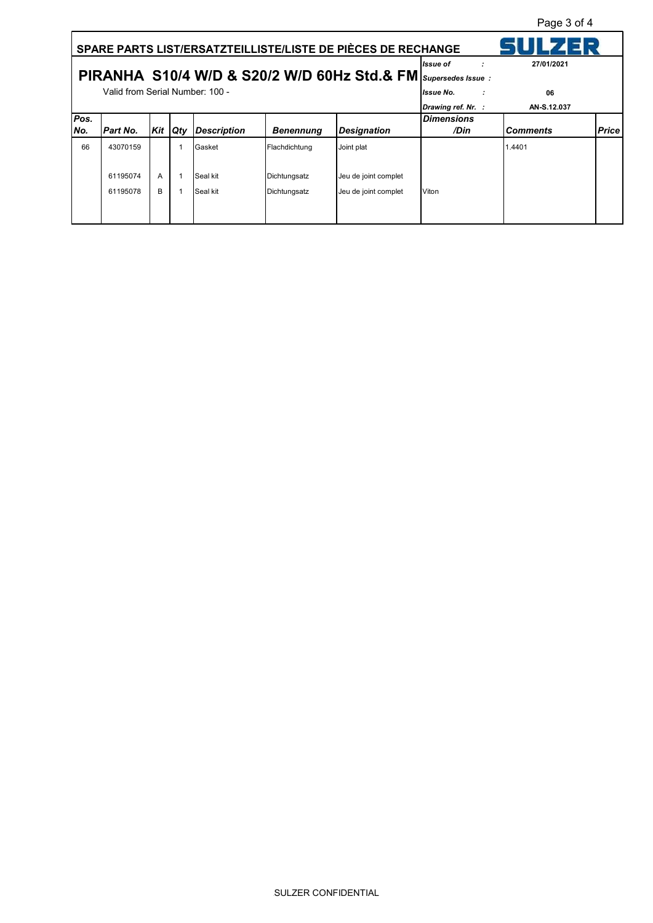Page 3 of 4

| SPARE PARTS LIST/ERSATZTEILLISTE/LISTE DE PIÈCES DE RECHANGE  |                                 |     |     |                    |                  |                      |                    |                 |              |
|---------------------------------------------------------------|---------------------------------|-----|-----|--------------------|------------------|----------------------|--------------------|-----------------|--------------|
|                                                               |                                 |     |     |                    |                  |                      | <b>Issue</b> of    | 27/01/2021      |              |
| PIRANHA S10/4 W/D & S20/2 W/D 60Hz Std.& FM Supersedes Issue: |                                 |     |     |                    |                  |                      |                    |                 |              |
|                                                               | Valid from Serial Number: 100 - |     |     |                    |                  |                      | lissue No.         | 06              |              |
|                                                               |                                 |     |     |                    |                  |                      | Drawing ref. Nr. : | AN-S.12.037     |              |
| Pos.                                                          |                                 |     |     |                    |                  |                      | <b>Dimensions</b>  |                 |              |
| INo.                                                          | <b>Part No.</b>                 | Kit | Qty | <b>Description</b> | <b>Benennung</b> | <b>Designation</b>   | /Din               | <b>Comments</b> | <b>Price</b> |
| 66                                                            | 43070159                        |     |     | Gasket             | Flachdichtung    | Joint plat           |                    | 1.4401          |              |
|                                                               |                                 |     |     |                    |                  |                      |                    |                 |              |
|                                                               | 61195074                        | A   |     | Seal kit           | Dichtungsatz     | Jeu de joint complet |                    |                 |              |
|                                                               | 61195078                        | B   |     | Seal kit           | Dichtungsatz     | Jeu de joint complet | Viton              |                 |              |
|                                                               |                                 |     |     |                    |                  |                      |                    |                 |              |
|                                                               |                                 |     |     |                    |                  |                      |                    |                 |              |

ĭ